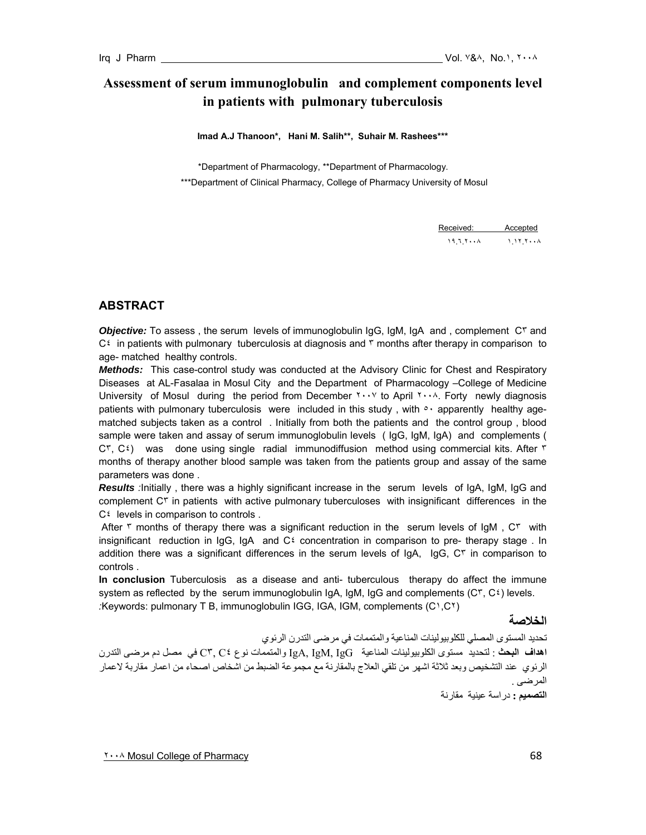# **Assessment of serum immunoglobulin and complement components level in patients with pulmonary tuberculosis**

**Imad A.J Thanoon\*, Hani M. Salih\*\*, Suhair M. Rashees\*\*\*** 

 \*Department of Pharmacology, \*\*Department of Pharmacology. \*\*\*Department of Clinical Pharmacy, College of Pharmacy University of Mosul

Received: Accepted ١٩.٦.٢٠٠٨ ١.١٢.٢٠٠٨

# **ABSTRACT**

*Objective:* To assess , the serum levels of immunoglobulin IgG, IgM, IgA and , complement C٣ and  $C^{\xi}$  in patients with pulmonary tuberculosis at diagnosis and  $\tau$  months after therapy in comparison to age- matched healthy controls.

*Methods:* This case-control study was conducted at the Advisory Clinic for Chest and Respiratory Diseases at AL-Fasalaa in Mosul City and the Department of Pharmacology –College of Medicine University of Mosul during the period from December Thist You April Thist Torty newly diagnosis patients with pulmonary tuberculosis were included in this study, with  $\circ \cdot$  apparently healthy agematched subjects taken as a control . Initially from both the patients and the control group , blood sample were taken and assay of serum immunoglobulin levels ( IgG, IgM, IgA) and complements ( C٣, C٤) was done using single radial immunodiffusion method using commercial kits. After ٣ months of therapy another blood sample was taken from the patients group and assay of the same parameters was done .

*Results :*Initially , there was a highly significant increase in the serum levels of IgA, IgM, IgG and complement C٣ in patients with active pulmonary tuberculoses with insignificant differences in the  $C^{\xi}$  levels in comparison to controls.

After  $\tau$  months of therapy there was a significant reduction in the serum levels of IgM,  $C\tau$  with insignificant reduction in IgG, IgA and  $C^{\xi}$  concentration in comparison to pre- therapy stage. In addition there was a significant differences in the serum levels of IgA, IgG, C٣ in comparison to controls .

**In conclusion** Tuberculosis as a disease and anti- tuberculous therapy do affect the immune system as reflected by the serum immunoglobulin IgA, IgM, IgG and complements  $(C<sup>r</sup>, C<sup>2</sup>)$  levels. *:*Keywords: pulmonary T B, immunoglobulin IGG, IGA, IGM, complements (C١,C٢)

**الخلاصة** 

تحديد المستوى المصلي للكلوبيولينات المناعية والمتممات في مرضى التدرن الرئوي **اهداف البحث** : لتحديد مستوى الكلوبيولينات المناعية IgG ,IgM ,IgA والمتممات نوع ٤C ٣,C في مصل دم مرضى التدرن الرئوي عند التشخيص وبعد ثلاثة اشهر من تلقي العلاج بالمقارنة مع مجموعة الضبط من اشخاص اصحاء من اعمار مقاربة لاعمار المرض*ى* . **التصميم :** دراسة عينية مقارنة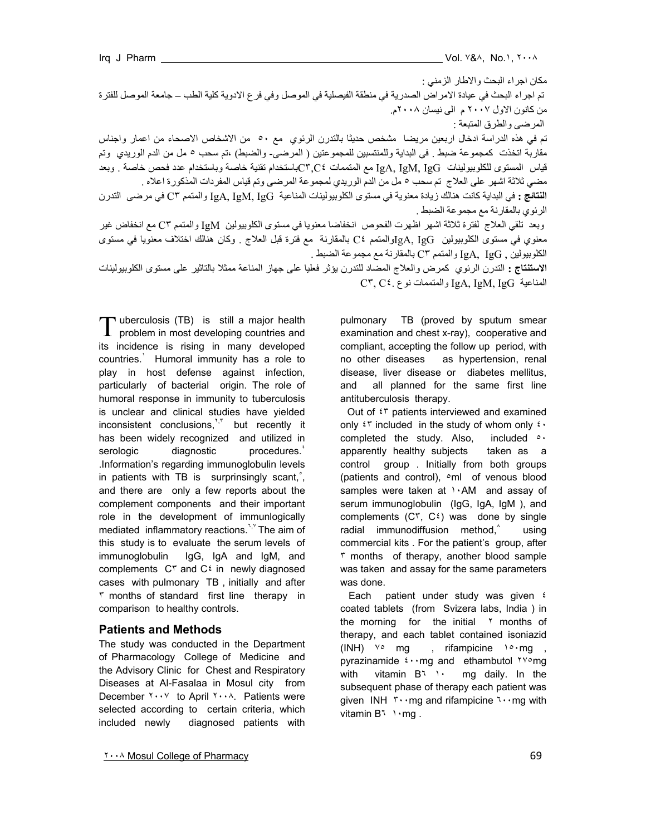| مكان اجراء البحث والاطار الزمني :                                                                                             |
|-------------------------------------------------------------------------------------------------------------------------------|
| تم اجراء البحث في عيادة الامراض الصدرية في منطقة الفيصلية في الموصل وفي فرع الادوية كلية الطب ــ جامعة الموصل للفترة          |
| من کانون الاول ۲۰۰۷ م  المی نیسان ۲۰۰۸م.                                                                                      |
| المرضى والطرق المتبعة ب                                                                                                       |
| تم في هذه الدراسة ادخال اربعين مريضا  مشخص حديثًا بالتدرن الرئوي  مع ٥٠  من الاشخاص الاصحاء من اعمار واجناس                   |
| مقاربة اتخذت كمجموعة ضبط ¸ في البداية وللمنتسبين للمجموعتين ( المرضىـ والضبط) ،تم سحب ٥ مل من الدم الوريدي  وتم               |
| قياس  المستوى للكلوببيولينات  IgA, IgM, IgG مع المتممات C۳٫C٤باستخدام تقنية خاصة وباستخدام عدد فحص خاصة <sub>·</sub> وبعد     |
| مضي ثلاثة اشهر على العلاج  تم سحب ٥ مل من الدم الوريدي لمجموعة المرضىي وتم قياس المفردات المذكورة اعلاه .                     |
| ا <b>لنتائج :</b> في البداية كانت هنالك زيادة معنوية في مستوى الكلوبيولينات المناعية  IgA, IgG والمتمم °C في مرضى  التدرن     |
| الرئوي بالمقارنة مع مجموعة الضبط .                                                                                            |
| وبعد  تلقي العلاج  لفترة ثلاثة اشهر  اظهرت الفحوص  انخفاضا معنويا في مستوى الكلوبيولين   IgM والمتمم C۳ مع انخفاض غير         |
| معنوي في مستوى الكلوبيولين   IgA, IgGوالمتمم  Ct بالمقارنة  مع فترة قبل العلاج <sub>.</sub> وكان هنالك اختلاف معنويا في مستوى |
| الكلوبيولين , IgA, IgG والمتمم °C بالمقارنة مع مجموعة الضبط .                                                                 |

**الاستنتاج :** التدرن الرئوي آمرض والعلاج المضاد للتدرن يؤثر فعليا على جهاز المناعة ممثلا بالتاثير على مستوى الكلوبيولينات C٣, C٤. نوع والمتممات IgA, IgM, IgG المناعية

T uberculosis (TB) is still a major health<br>problem in most developing countries and  $\perp$  problem in most developing countries and its incidence is rising in many developed countries.<sup>1</sup> Humoral immunity has a role to play in host defense against infection, particularly of bacterial origin. The role of humoral response in immunity to tuberculosis is unclear and clinical studies have yielded inconsistent conclusions, $\zeta^{\tau,\tau}$  but recently it has been widely recognized and utilized in serologic diagnostic procedures.<sup>8</sup> .Information's regarding immunoglobulin levels in patients with TB is surprinsingly scant, $\hat{\ }$ , and there are only a few reports about the complement components and their important role in the development of immunlogically mediated inflammatory reactions.<sup>٦,γ</sup> The aim of this study is to evaluate the serum levels of immunoglobulin IgG, IgA and IgM, and complements C٣ and C٤ in newly diagnosed cases with pulmonary TB , initially and after ٣ months of standard first line therapy in comparison to healthy controls.

#### **Patients and Methods**

The study was conducted in the Department of Pharmacology College of Medicine and the Advisory Clinic for Chest and Respiratory Diseases at Al-Fasalaa in Mosul city from December ٢٠٠٧ to April ٢٠٠٨. Patients were selected according to certain criteria, which included newly diagnosed patients with pulmonary TB (proved by sputum smear examination and chest x-ray), cooperative and compliant, accepting the follow up period, with no other diseases as hypertension, renal disease, liver disease or diabetes mellitus, and all planned for the same first line antituberculosis therapy.

Out of ٤٣ patients interviewed and examined only  $\mathfrak{r}$  r included in the study of whom only  $\mathfrak{r}$ . completed the study. Also, included  $\circ \cdot$ apparently healthy subjects taken as a control group . Initially from both groups (patients and control), <sup>o</sup>ml of venous blood samples were taken at 1.AM and assay of serum immunoglobulin (IgG, IgA, IgM), and complements  $(C^{\dagger}, C^{\dagger})$  was done by single radial immunodiffusion method, $\delta$  using commercial kits . For the patient's group, after ٣ months of therapy, another blood sample was taken and assay for the same parameters was done.

Each patient under study was given  $\epsilon$ coated tablets (from Svizera labs, India ) in the morning for the initial  $\gamma$  months of therapy, and each tablet contained isoniazid (INH)  $\sqrt{2}$  mg, rifampicine  $\sqrt{2} \cdot mg$ , pyrazinamide ٤٠٠mg and ethambutol ٢٧٥mg with vitamin B٦ ١٠ mg daily. In the subsequent phase of therapy each patient was given INH ٣٠٠mg and rifampicine ٦٠٠mg with vitamin B٦ ١٠mg.

٢٠٠٨ Mosul College of Pharmacy 69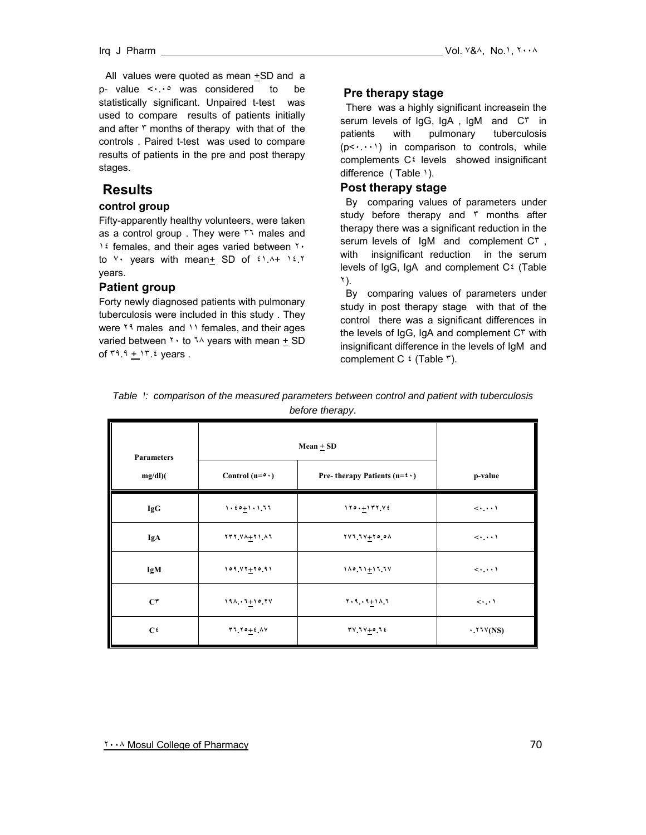All values were quoted as mean +SD and a p- value <٠.٠٥ was considered to be statistically significant. Unpaired t-test was used to compare results of patients initially and after  $\frac{1}{\pi}$  months of therapy with that of the controls . Paired t-test was used to compare results of patients in the pre and post therapy stages.

# **Results**

#### **control group**

Fifty-apparently healthy volunteers, were taken as a control group. They were r males and ١٤ females, and their ages varied between ٢٠ to  $Y$  years with mean<sup>+</sup> SD of  $21.14 + 12.7$ years.

#### **Patient group**

Forty newly diagnosed patients with pulmonary tuberculosis were included in this study . They were <sup>19</sup> males and <sup>11</sup> females, and their ages varied between  $\mathbf{v} \cdot \mathbf{t}$  to  $\mathbf{v} \wedge \mathbf{y}$  years with mean  $\pm$  SD of  $19.9 + 17.2$  years.

#### **Pre therapy stage**

 There was a highly significant increasein the serum levels of IgG, IgA, IgM and C<sup>r</sup> in patients with pulmonary tuberculosis  $(p<\cdots)$  in comparison to controls, while complements C٤ levels showed insignificant difference (Table 1).

#### **Post therapy stage**

 By comparing values of parameters under study before therapy and  $\bar{r}$  months after therapy there was a significant reduction in the serum levels of IgM and complement C٣ , with insignificant reduction in the serum levels of IgG, IgA and complement C٤ (Table ٢).

 By comparing values of parameters under study in post therapy stage with that of the control there was a significant differences in the levels of IgG, IgA and complement C<sup>r</sup> with insignificant difference in the levels of IgM and complement C ٤ (Table ٣).

| <b>Parameters</b> | Mean $\pm$ SD     |                                                  |                                      |
|-------------------|-------------------|--------------------------------------------------|--------------------------------------|
| $mg/dl$ )(        | Control $(n=0)$   | Pre- therapy Patients ( $n=$ $\leftrightarrow$ ) | p-value                              |
| <b>IgG</b>        | $1.50 + 1.1, 1.1$ | $110. + 177.72$                                  | $\langle \cdot, \cdot \cdot \rangle$ |
| IgA               | $177.34 + 71.41$  | $111.11 + 10.01$                                 | $\langle \cdot, \cdot \cdot \rangle$ |
| <b>IgM</b>        | $109.47 + 70.91$  | $110.71 + 17.11$                                 | $\langle \cdot, \cdot \cdot \rangle$ |
| $C^{\tau}$        | $191.1 + 10.11$   | $1.4.1 + 1.4 + 1.7$                              | $\langle \cdot, \cdot \rangle$       |
| C <sup>t</sup>    | $71.70 + 2.1V$    | $74.14 + 0.16$                                   |                                      |

*Table* ١*: comparison of the measured parameters between control and patient with tuberculosis before therapy*.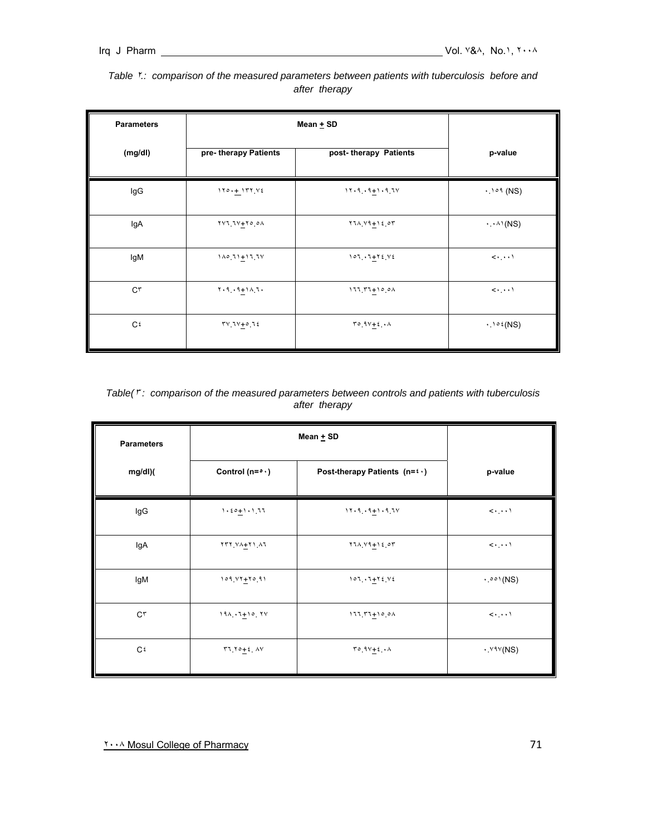| <b>Parameters</b> | Mean $\pm$ SD              |                                   |                                        |
|-------------------|----------------------------|-----------------------------------|----------------------------------------|
| (mg/dl)           | pre- therapy Patients      | post-therapy Patients             | p-value                                |
| lgG               | $110 + 177$ $Y2$           | $11.9.9 + 1.9.7V$                 | $\cdot$ . $\circ$ $\circ$ (NS)         |
| lgA               | $YY$ $1V+Y$ $0$ $0A$       | $Y11.19 + 12.07$                  | $\cdot \cdot^{\wedge}$ (NS)            |
| lgM               | $110.71 + 17.7V$           | $107.7 + 72.72$                   | $\langle\cdot\,,\cdot\,\cdot\,\rangle$ |
| $C^{\tau}$        | $Y \cdot 9 \cdot 9 + 10.7$ | $111.77+10.01$                    | $\langle \cdot, \cdot, \cdot \rangle$  |
| C٤                | $TV1V + 01$                | $T^{\circ}$ $9V+2$ $\cdot \wedge$ | $\cdot$ . $\circ$ $\in$ (NS)           |

### *Table* ٢*.: comparison of the measured parameters between patients with tuberculosis before and after therapy*

|               |  | Table(": comparison of the measured parameters between controls and patients with tuberculosis |  |  |  |  |
|---------------|--|------------------------------------------------------------------------------------------------|--|--|--|--|
| after therapy |  |                                                                                                |  |  |  |  |

| <b>Parameters</b> | Mean $\pm$ SD                 |                                                                    |                                      |
|-------------------|-------------------------------|--------------------------------------------------------------------|--------------------------------------|
| mg/dl)(           | Control ( $n = \circ \cdot$ ) | Post-therapy Patients $(n = \mathfrak{t} \cdot)$                   | p-value                              |
| IgG               | $1.50 + 1.177$                | $11.9.9 + 1.9 + 1.7$                                               | $\langle \cdot, \cdot \cdot \rangle$ |
| lgA               | $YYY \vee A + YY A$           | $Y1\Lambda Y1 + Y2$                                                | $\langle \cdot, \cdot \cdot \rangle$ |
| IgM               | $109.47+70.91$                | $107.7 + 72$                                                       | $\cdot$ . $\circ \circ \circ (NS)$   |
| $C^{\tau}$        | $191.7 + 10.7V$               | $11157+10.01$                                                      | $\langle \cdot, \cdot \cdot \rangle$ |
| C <sub>t</sub>    | $17.70 + 2.4V$                | $\Gamma \circ \left( \frac{1}{2} \right) + \epsilon \cdot \Lambda$ | $\cdot$ Y <sup>9</sup> Y(NS)         |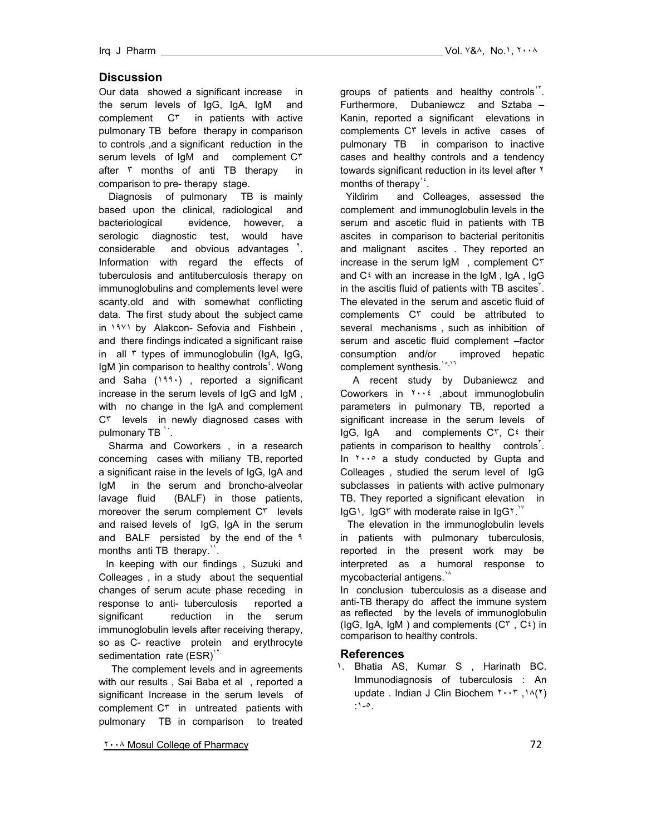# **Discussion**

Our data showed a significant increase in the serum levels of IgG, IgA, IgM and complement C<sup>r</sup> in patients with active pulmonary TB before therapy in comparison to controls ,and a significant reduction in the serum levels of IgM and complement C<sup>r</sup> after r months of anti TB therapy in comparison to pre- therapy stage.

 Diagnosis of pulmonary TB is mainly based upon the clinical, radiological and bacteriological evidence, however, a serologic diagnostic test, would have considerable and obvious advantages . Information with regard the effects of tuberculosis and antituberculosis therapy on immunoglobulins and complements level were scanty,old and with somewhat conflicting data. The first study about the subject came in 1981 by Alakcon- Sefovia and Fishbein, and there findings indicated a significant raise in all ٣ types of immunoglobulin (IgA, IgG, IgM )in comparison to healthy controls<sup>5</sup>. Wong and Saha (١٩٩٠) , reported a significant increase in the serum levels of IgG and IgM , with no change in the IgA and complement C٣ levels in newly diagnosed cases with pulmonary TB  $\cdot$ .

 Sharma and Coworkers , in a research concerning cases with miliany TB, reported a significant raise in the levels of IgG, IgA and IgM in the serum and broncho-alveolar lavage fluid (BALF) in those patients, moreover the serum complement C<sup>r</sup> levels and raised levels of IgG, IgA in the serum and BALF persisted by the end of the ٩ months anti TB therapy.".

In keeping with our findings , Suzuki and Colleages , in a study about the sequential changes of serum acute phase receding in response to anti- tuberculosis reported a significant reduction in the serum immunoglobulin levels after receiving therapy, so as C- reactive protein and erythrocyte sedimentation rate  $(ESR)^{Y}$ .

 The complement levels and in agreements with our results , Sai Baba et al , reported a significant Increase in the serum levels of complement C<sup>r</sup> in untreated patients with pulmonary TB in comparison to treated

٢٠٠٨ Mosul College of Pharmacy 72

groups of patients and healthy controls<sup>1</sup>. Furthermore, Dubaniewcz and Sztaba – Kanin, reported a significant elevations in complements C٣ levels in active cases of pulmonary TB in comparison to inactive cases and healthy controls and a tendency towards significant reduction in its level after ٢ months of therapy<sup>14</sup>.

 Yildirim and Colleages, assessed the complement and immunoglobulin levels in the serum and ascetic fluid in patients with TB ascites in comparison to bacterial peritonitis and malignant ascites . They reported an increase in the serum IgM , complement C٣ and  $C^{\xi}$  with an increase in the IgM, IgA, IgG in the ascitis fluid of patients with TB ascites  $\check{\ }$ . The elevated in the serum and ascetic fluid of complements C٣ could be attributed to several mechanisms , such as inhibition of serum and ascetic fluid complement –factor consumption and/or improved hepatic complement synthesis.<sup>10,17</sup>

 A recent study by Dubaniewcz and Coworkers in ٢٠٠٤ ,about immunoglobulin parameters in pulmonary TB, reported a significant increase in the serum levels of IgG, IgA and complements C٣, C٤ their patients in comparison to healthy controls<sup> $\mathbf{r}$ </sup>. In ٢٠٠٥ a study conducted by Gupta and Colleages , studied the serum level of IgG subclasses in patients with active pulmonary TB. They reported a significant elevation in  $\text{lgG}^{\dagger}$ , IgG<sup>\*</sup> with moderate raise in IgG<sup>\*</sup>.

The elevation in the immunoglobulin levels in patients with pulmonary tuberculosis, reported in the present work may be interpreted as a humoral response to mycobacterial antigens.<sup>14</sup>

In conclusion tuberculosis as a disease and anti-TB therapy do affect the immune system as reflected by the levels of immunoglobulin (IgG, IgA, IgM) and complements  $(C^{\dagger}, C^{\dagger})$  in comparison to healthy controls.

# **References**

١. Bhatia AS, Kumar S , Harinath BC. Immunodiagnosis of tuberculosis : An update . Indian J Clin Biochem ٢٠٠٣ ,١٨(٢) :١-٥.